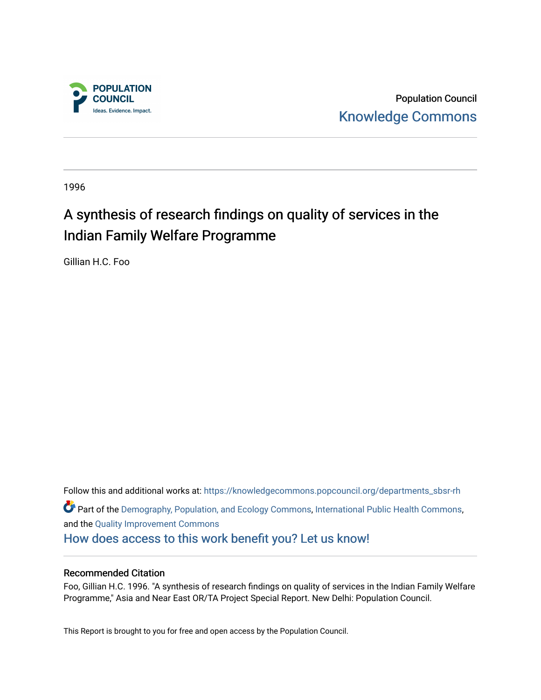

Population Council [Knowledge Commons](https://knowledgecommons.popcouncil.org/) 

1996

# A synthesis of research findings on quality of services in the Indian Family Welfare Programme

Gillian H.C. Foo

Follow this and additional works at: [https://knowledgecommons.popcouncil.org/departments\\_sbsr-rh](https://knowledgecommons.popcouncil.org/departments_sbsr-rh?utm_source=knowledgecommons.popcouncil.org%2Fdepartments_sbsr-rh%2F2018&utm_medium=PDF&utm_campaign=PDFCoverPages)  **P** Part of the [Demography, Population, and Ecology Commons,](https://network.bepress.com/hgg/discipline/418?utm_source=knowledgecommons.popcouncil.org%2Fdepartments_sbsr-rh%2F2018&utm_medium=PDF&utm_campaign=PDFCoverPages) [International Public Health Commons](https://network.bepress.com/hgg/discipline/746?utm_source=knowledgecommons.popcouncil.org%2Fdepartments_sbsr-rh%2F2018&utm_medium=PDF&utm_campaign=PDFCoverPages), and the [Quality Improvement Commons](https://network.bepress.com/hgg/discipline/1430?utm_source=knowledgecommons.popcouncil.org%2Fdepartments_sbsr-rh%2F2018&utm_medium=PDF&utm_campaign=PDFCoverPages) [How does access to this work benefit you? Let us know!](https://pcouncil.wufoo.com/forms/open-access-to-population-council-research/)

## Recommended Citation

Foo, Gillian H.C. 1996. "A synthesis of research findings on quality of services in the Indian Family Welfare Programme," Asia and Near East OR/TA Project Special Report. New Delhi: Population Council.

This Report is brought to you for free and open access by the Population Council.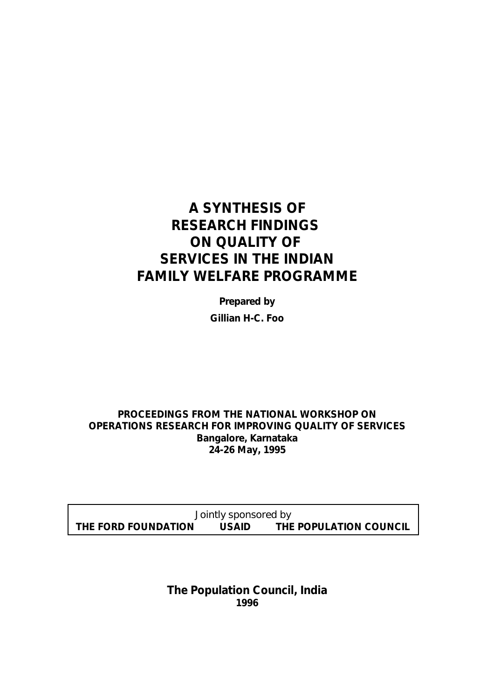# **A SYNTHESIS OF RESEARCH FINDINGS ON QUALITY OF SERVICES IN THE INDIAN FAMILY WELFARE PROGRAMME**

*Prepared by* **Gillian H-C. Foo**

**PROCEEDINGS FROM THE NATIONAL WORKSHOP ON OPERATIONS RESEARCH FOR IMPROVING QUALITY OF SERVICES Bangalore, Karnataka 24-26 May, 1995**

*Jointly sponsored by* **THE FORD FOUNDATION USAID THE POPULATION COUNCIL**

> **The Population Council, India 1996**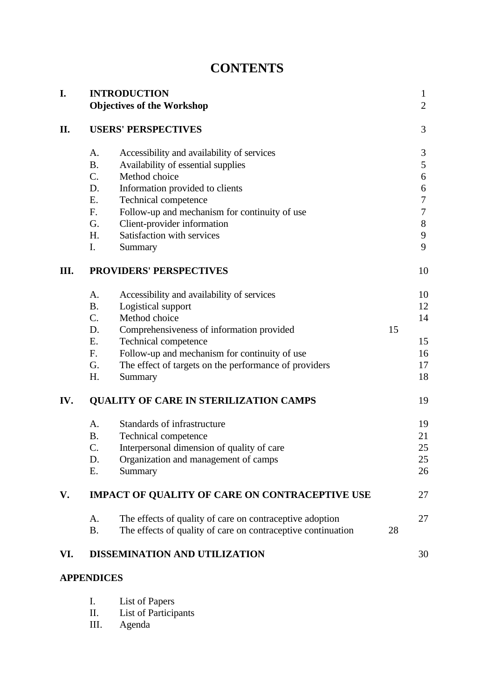| <b>CONTENTS</b> |
|-----------------|
|-----------------|

| I.  |             | <b>INTRODUCTION</b>                                          |    | $\mathbf{1}$<br>$\overline{2}$ |
|-----|-------------|--------------------------------------------------------------|----|--------------------------------|
|     |             | <b>Objectives of the Workshop</b>                            |    |                                |
| П.  |             | <b>USERS' PERSPECTIVES</b>                                   |    | 3                              |
|     | А.          | Accessibility and availability of services                   |    | 3                              |
|     | <b>B.</b>   | Availability of essential supplies                           |    | 5                              |
|     | $C_{\cdot}$ | Method choice                                                |    | 6                              |
|     | D.          | Information provided to clients                              |    | 6                              |
|     | <b>E.</b>   | Technical competence                                         |    | 7                              |
|     | $F_{\cdot}$ | Follow-up and mechanism for continuity of use                |    | 7                              |
|     | G.          | Client-provider information                                  |    | 8                              |
|     | H.          | Satisfaction with services                                   |    | 9                              |
|     | I.          | Summary                                                      |    | 9                              |
| Ш.  |             | <b>PROVIDERS' PERSPECTIVES</b>                               |    | 10                             |
|     | A.          | Accessibility and availability of services                   |    | 10                             |
|     | <b>B.</b>   | Logistical support                                           |    | 12                             |
|     | $C_{\cdot}$ | Method choice                                                |    | 14                             |
|     | D.          | Comprehensiveness of information provided                    | 15 |                                |
|     | E.          | Technical competence                                         |    | 15                             |
|     | F.          | Follow-up and mechanism for continuity of use                |    | 16                             |
|     | G.          | The effect of targets on the performance of providers        |    | 17                             |
|     | H.          | Summary                                                      |    | 18                             |
| IV. |             | <b>QUALITY OF CARE IN STERILIZATION CAMPS</b>                |    | 19                             |
|     | A.          | Standards of infrastructure                                  |    | 19                             |
|     | <b>B.</b>   | Technical competence                                         |    | 21                             |
|     | C.          | Interpersonal dimension of quality of care                   |    | 25                             |
|     | D.          | Organization and management of camps                         |    | 25                             |
|     | Е.          | Summary                                                      |    | 26                             |
| V.  |             | <b>IMPACT OF QUALITY OF CARE ON CONTRACEPTIVE USE</b>        |    | 27                             |
|     | A.          | The effects of quality of care on contraceptive adoption     |    | 27                             |
|     | <b>B.</b>   | The effects of quality of care on contraceptive continuation | 28 |                                |
| VI. |             | DISSEMINATION AND UTILIZATION                                |    | 30                             |

## **APPENDICES**

| List of Papers |
|----------------|
|                |

- II. List of Participants
- III. Agenda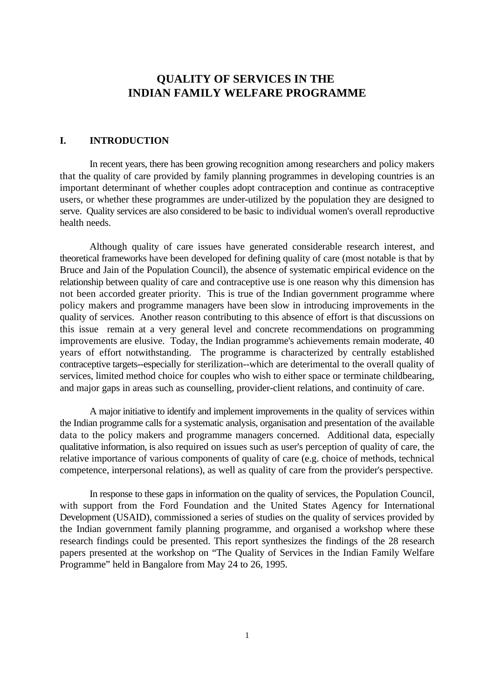## **QUALITY OF SERVICES IN THE INDIAN FAMILY WELFARE PROGRAMME**

## **I. INTRODUCTION**

In recent years, there has been growing recognition among researchers and policy makers that the quality of care provided by family planning programmes in developing countries is an important determinant of whether couples adopt contraception and continue as contraceptive users, or whether these programmes are under-utilized by the population they are designed to serve. Quality services are also considered to be basic to individual women's overall reproductive health needs.

Although quality of care issues have generated considerable research interest, and theoretical frameworks have been developed for defining quality of care (most notable is that by Bruce and Jain of the Population Council), the absence of systematic empirical evidence on the relationship between quality of care and contraceptive use is one reason why this dimension has not been accorded greater priority. This is true of the Indian government programme where policy makers and programme managers have been slow in introducing improvements in the quality of services. Another reason contributing to this absence of effort is that discussions on this issue remain at a very general level and concrete recommendations on programming improvements are elusive. Today, the Indian programme's achievements remain moderate, 40 years of effort notwithstanding. The programme is characterized by centrally established contraceptive targets--especially for sterilization--which are deterimental to the overall quality of services, limited method choice for couples who wish to either space or terminate childbearing, and major gaps in areas such as counselling, provider-client relations, and continuity of care.

A major initiative to identify and implement improvements in the quality of services within the Indian programme calls for a systematic analysis, organisation and presentation of the available data to the policy makers and programme managers concerned. Additional data, especially qualitative information, is also required on issues such as user's perception of quality of care, the relative importance of various components of quality of care (e.g. choice of methods, technical competence, interpersonal relations), as well as quality of care from the provider's perspective.

In response to these gaps in information on the quality of services, the Population Council, with support from the Ford Foundation and the United States Agency for International Development (USAID), commissioned a series of studies on the quality of services provided by the Indian government family planning programme, and organised a workshop where these research findings could be presented. This report synthesizes the findings of the 28 research papers presented at the workshop on "The Quality of Services in the Indian Family Welfare Programme" held in Bangalore from May 24 to 26, 1995.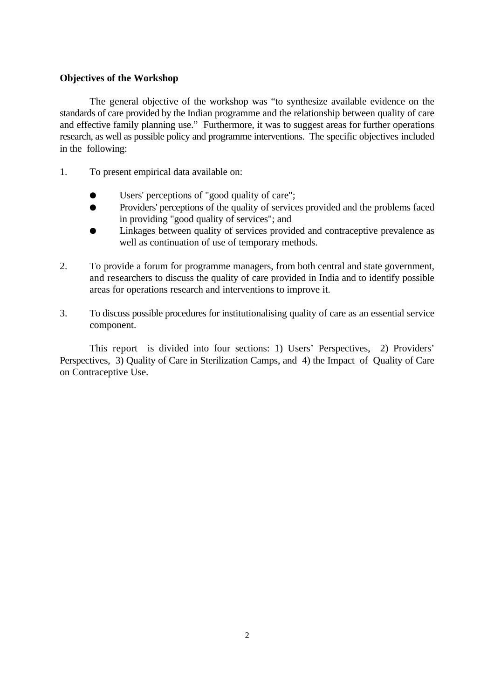## **Objectives of the Workshop**

The general objective of the workshop was "to synthesize available evidence on the standards of care provided by the Indian programme and the relationship between quality of care and effective family planning use." Furthermore, it was to suggest areas for further operations research, as well as possible policy and programme interventions. The specific objectives included in the following:

- 1. To present empirical data available on:
	- Users' perceptions of "good quality of care";
	- é Providers' perceptions of the quality of services provided and the problems faced in providing "good quality of services"; and
	- Linkages between quality of services provided and contraceptive prevalence as well as continuation of use of temporary methods.
- 2. To provide a forum for programme managers, from both central and state government, and researchers to discuss the quality of care provided in India and to identify possible areas for operations research and interventions to improve it.
- 3. To discuss possible procedures for institutionalising quality of care as an essential service component.

This report is divided into four sections: 1) Users' Perspectives, 2) Providers' Perspectives, 3) Quality of Care in Sterilization Camps, and 4) the Impact of Quality of Care on Contraceptive Use.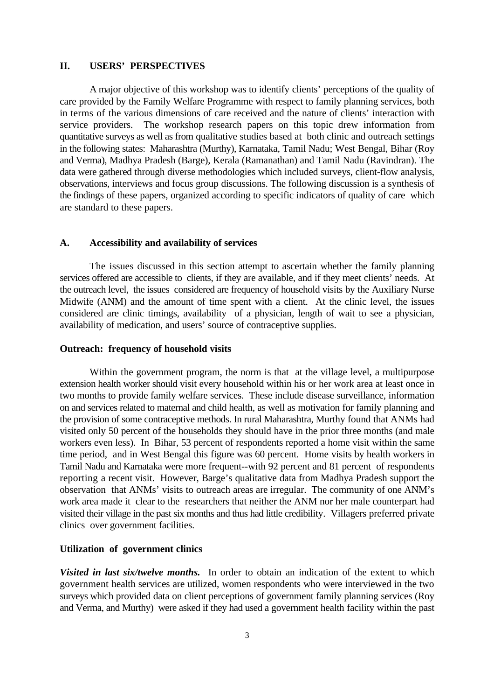#### **II. USERS' PERSPECTIVES**

A major objective of this workshop was to identify clients' perceptions of the quality of care provided by the Family Welfare Programme with respect to family planning services, both in terms of the various dimensions of care received and the nature of clients' interaction with service providers. The workshop research papers on this topic drew information from quantitative surveys as well as from qualitative studies based at both clinic and outreach settings in the following states: Maharashtra (Murthy), Karnataka, Tamil Nadu; West Bengal, Bihar (Roy and Verma), Madhya Pradesh (Barge), Kerala (Ramanathan) and Tamil Nadu (Ravindran). The data were gathered through diverse methodologies which included surveys, client-flow analysis, observations, interviews and focus group discussions. The following discussion is a synthesis of the findings of these papers, organized according to specific indicators of quality of care which are standard to these papers.

#### **A. Accessibility and availability of services**

The issues discussed in this section attempt to ascertain whether the family planning services offered are accessible to clients, if they are available, and if they meet clients' needs. At the outreach level, the issues considered are frequency of household visits by the Auxiliary Nurse Midwife (ANM) and the amount of time spent with a client. At the clinic level, the issues considered are clinic timings, availability of a physician, length of wait to see a physician, availability of medication, and users' source of contraceptive supplies.

#### **Outreach: frequency of household visits**

Within the government program, the norm is that at the village level, a multipurpose extension health worker should visit every household within his or her work area at least once in two months to provide family welfare services. These include disease surveillance, information on and services related to maternal and child health, as well as motivation for family planning and the provision of some contraceptive methods. In rural Maharashtra, Murthy found that ANMs had visited only 50 percent of the households they should have in the prior three months (and male workers even less). In Bihar, 53 percent of respondents reported a home visit within the same time period, and in West Bengal this figure was 60 percent. Home visits by health workers in Tamil Nadu and Karnataka were more frequent--with 92 percent and 81 percent of respondents reporting a recent visit. However, Barge's qualitative data from Madhya Pradesh support the observation that ANMs' visits to outreach areas are irregular. The community of one ANM's work area made it clear to the researchers that neither the ANM nor her male counterpart had visited their village in the past six months and thus had little credibility. Villagers preferred private clinics over government facilities.

#### **Utilization of government clinics**

*Visited in last six/twelve months.* In order to obtain an indication of the extent to which government health services are utilized, women respondents who were interviewed in the two surveys which provided data on client perceptions of government family planning services (Roy and Verma, and Murthy) were asked if they had used a government health facility within the past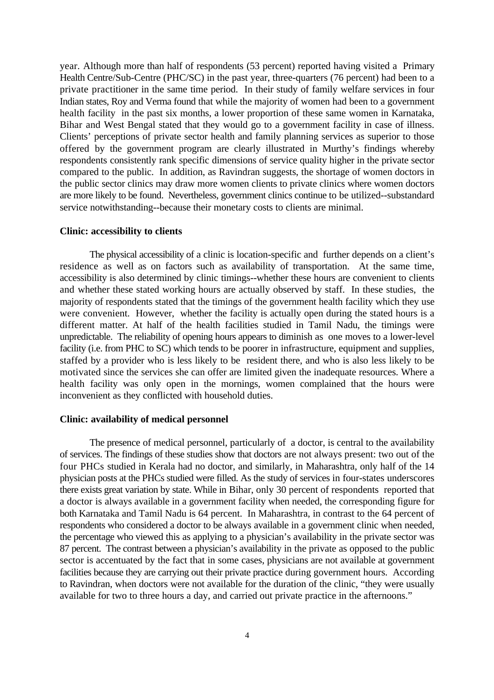year. Although more than half of respondents (53 percent) reported having visited a Primary Health Centre/Sub-Centre (PHC/SC) in the past year, three-quarters (76 percent) had been to a private practitioner in the same time period. In their study of family welfare services in four Indian states, Roy and Verma found that while the majority of women had been to a government health facility in the past six months, a lower proportion of these same women in Karnataka, Bihar and West Bengal stated that they would go to a government facility in case of illness. Clients' perceptions of private sector health and family planning services as superior to those offered by the government program are clearly illustrated in Murthy's findings whereby respondents consistently rank specific dimensions of service quality higher in the private sector compared to the public. In addition, as Ravindran suggests, the shortage of women doctors in the public sector clinics may draw more women clients to private clinics where women doctors are more likely to be found. Nevertheless, government clinics continue to be utilized--substandard service notwithstanding--because their monetary costs to clients are minimal.

#### **Clinic: accessibility to clients**

The physical accessibility of a clinic is location-specific and further depends on a client's residence as well as on factors such as availability of transportation. At the same time, accessibility is also determined by clinic timings--whether these hours are convenient to clients and whether these stated working hours are actually observed by staff. In these studies, the majority of respondents stated that the timings of the government health facility which they use were convenient. However, whether the facility is actually open during the stated hours is a different matter. At half of the health facilities studied in Tamil Nadu, the timings were unpredictable. The reliability of opening hours appears to diminish as one moves to a lower-level facility (i.e. from PHC to SC) which tends to be poorer in infrastructure, equipment and supplies, staffed by a provider who is less likely to be resident there, and who is also less likely to be motivated since the services she can offer are limited given the inadequate resources. Where a health facility was only open in the mornings, women complained that the hours were inconvenient as they conflicted with household duties.

#### **Clinic: availability of medical personnel**

The presence of medical personnel, particularly of a doctor, is central to the availability of services. The findings of these studies show that doctors are not always present: two out of the four PHCs studied in Kerala had no doctor, and similarly, in Maharashtra, only half of the 14 physician posts at the PHCs studied were filled. As the study of services in four-states underscores there exists great variation by state. While in Bihar, only 30 percent of respondents reported that a doctor is always available in a government facility when needed, the corresponding figure for both Karnataka and Tamil Nadu is 64 percent. In Maharashtra, in contrast to the 64 percent of respondents who considered a doctor to be always available in a government clinic when needed, the percentage who viewed this as applying to a physician's availability in the private sector was 87 percent. The contrast between a physician's availability in the private as opposed to the public sector is accentuated by the fact that in some cases, physicians are not available at government facilities because they are carrying out their private practice during government hours. According to Ravindran, when doctors were not available for the duration of the clinic, "they were usually available for two to three hours a day, and carried out private practice in the afternoons."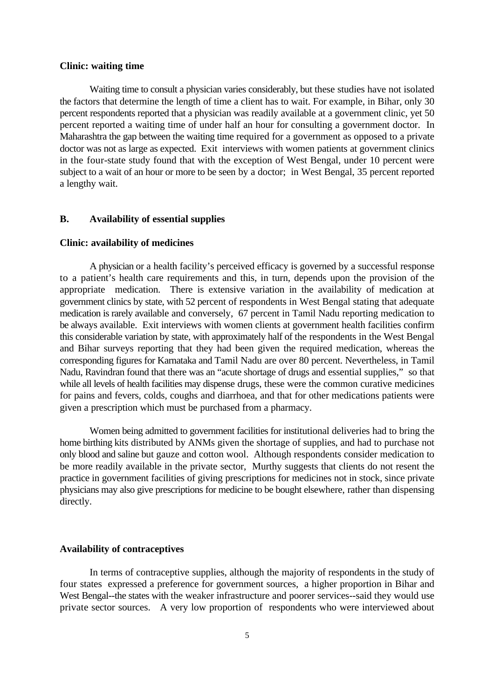#### **Clinic: waiting time**

Waiting time to consult a physician varies considerably, but these studies have not isolated the factors that determine the length of time a client has to wait. For example, in Bihar, only 30 percent respondents reported that a physician was readily available at a government clinic, yet 50 percent reported a waiting time of under half an hour for consulting a government doctor. In Maharashtra the gap between the waiting time required for a government as opposed to a private doctor was not as large as expected. Exit interviews with women patients at government clinics in the four-state study found that with the exception of West Bengal, under 10 percent were subject to a wait of an hour or more to be seen by a doctor; in West Bengal, 35 percent reported a lengthy wait.

#### **B. Availability of essential supplies**

#### **Clinic: availability of medicines**

A physician or a health facility's perceived efficacy is governed by a successful response to a patient's health care requirements and this, in turn, depends upon the provision of the appropriate medication. There is extensive variation in the availability of medication at government clinics by state, with 52 percent of respondents in West Bengal stating that adequate medication is rarely available and conversely, 67 percent in Tamil Nadu reporting medication to be always available. Exit interviews with women clients at government health facilities confirm this considerable variation by state, with approximately half of the respondents in the West Bengal and Bihar surveys reporting that they had been given the required medication, whereas the corresponding figures for Karnataka and Tamil Nadu are over 80 percent. Nevertheless, in Tamil Nadu, Ravindran found that there was an "acute shortage of drugs and essential supplies," so that while all levels of health facilities may dispense drugs, these were the common curative medicines for pains and fevers, colds, coughs and diarrhoea, and that for other medications patients were given a prescription which must be purchased from a pharmacy.

Women being admitted to government facilities for institutional deliveries had to bring the home birthing kits distributed by ANMs given the shortage of supplies, and had to purchase not only blood and saline but gauze and cotton wool. Although respondents consider medication to be more readily available in the private sector, Murthy suggests that clients do not resent the practice in government facilities of giving prescriptions for medicines not in stock, since private physicians may also give prescriptions for medicine to be bought elsewhere, rather than dispensing directly.

#### **Availability of contraceptives**

In terms of contraceptive supplies, although the majority of respondents in the study of four states expressed a preference for government sources, a higher proportion in Bihar and West Bengal--the states with the weaker infrastructure and poorer services--said they would use private sector sources. A very low proportion of respondents who were interviewed about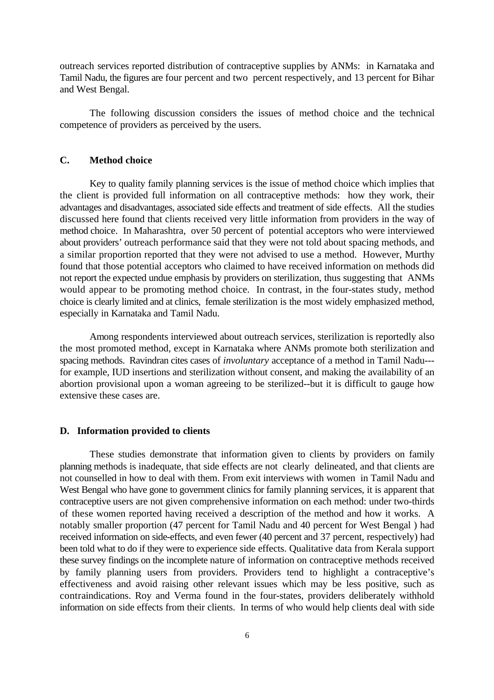outreach services reported distribution of contraceptive supplies by ANMs: in Karnataka and Tamil Nadu, the figures are four percent and two percent respectively, and 13 percent for Bihar and West Bengal.

The following discussion considers the issues of method choice and the technical competence of providers as perceived by the users.

## **C. Method choice**

Key to quality family planning services is the issue of method choice which implies that the client is provided full information on all contraceptive methods: how they work, their advantages and disadvantages, associated side effects and treatment of side effects. All the studies discussed here found that clients received very little information from providers in the way of method choice. In Maharashtra, over 50 percent of potential acceptors who were interviewed about providers' outreach performance said that they were not told about spacing methods, and a similar proportion reported that they were not advised to use a method. However, Murthy found that those potential acceptors who claimed to have received information on methods did not report the expected undue emphasis by providers on sterilization, thus suggesting that ANMs would appear to be promoting method choice. In contrast, in the four-states study, method choice is clearly limited and at clinics, female sterilization is the most widely emphasized method, especially in Karnataka and Tamil Nadu.

Among respondents interviewed about outreach services, sterilization is reportedly also the most promoted method, except in Karnataka where ANMs promote both sterilization and spacing methods. Ravindran cites cases of *involuntary* acceptance of a method in Tamil Nadu-- for example, IUD insertions and sterilization without consent, and making the availability of an abortion provisional upon a woman agreeing to be sterilized--but it is difficult to gauge how extensive these cases are.

#### **D. Information provided to clients**

These studies demonstrate that information given to clients by providers on family planning methods is inadequate, that side effects are not clearly delineated, and that clients are not counselled in how to deal with them. From exit interviews with women in Tamil Nadu and West Bengal who have gone to government clinics for family planning services, it is apparent that contraceptive users are not given comprehensive information on each method: under two-thirds of these women reported having received a description of the method and how it works. A notably smaller proportion (47 percent for Tamil Nadu and 40 percent for West Bengal ) had received information on side-effects, and even fewer (40 percent and 37 percent, respectively) had been told what to do if they were to experience side effects. Qualitative data from Kerala support these survey findings on the incomplete nature of information on contraceptive methods received by family planning users from providers. Providers tend to highlight a contraceptive's effectiveness and avoid raising other relevant issues which may be less positive, such as contraindications. Roy and Verma found in the four-states, providers deliberately withhold information on side effects from their clients. In terms of who would help clients deal with side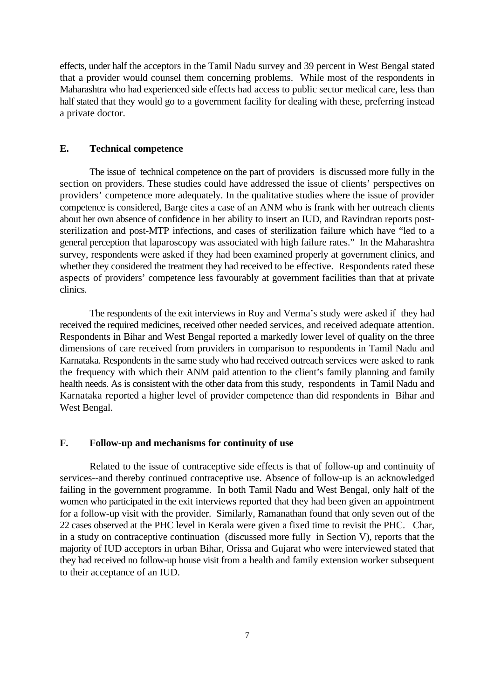effects, under half the acceptors in the Tamil Nadu survey and 39 percent in West Bengal stated that a provider would counsel them concerning problems. While most of the respondents in Maharashtra who had experienced side effects had access to public sector medical care, less than half stated that they would go to a government facility for dealing with these, preferring instead a private doctor.

#### **E. Technical competence**

The issue of technical competence on the part of providers is discussed more fully in the section on providers. These studies could have addressed the issue of clients' perspectives on providers' competence more adequately. In the qualitative studies where the issue of provider competence is considered, Barge cites a case of an ANM who is frank with her outreach clients about her own absence of confidence in her ability to insert an IUD, and Ravindran reports poststerilization and post-MTP infections, and cases of sterilization failure which have "led to a general perception that laparoscopy was associated with high failure rates." In the Maharashtra survey, respondents were asked if they had been examined properly at government clinics, and whether they considered the treatment they had received to be effective. Respondents rated these aspects of providers' competence less favourably at government facilities than that at private clinics.

The respondents of the exit interviews in Roy and Verma's study were asked if they had received the required medicines, received other needed services, and received adequate attention. Respondents in Bihar and West Bengal reported a markedly lower level of quality on the three dimensions of care received from providers in comparison to respondents in Tamil Nadu and Karnataka. Respondents in the same study who had received outreach services were asked to rank the frequency with which their ANM paid attention to the client's family planning and family health needs. As is consistent with the other data from this study, respondents in Tamil Nadu and Karnataka reported a higher level of provider competence than did respondents in Bihar and West Bengal.

## **F. Follow-up and mechanisms for continuity of use**

Related to the issue of contraceptive side effects is that of follow-up and continuity of services--and thereby continued contraceptive use. Absence of follow-up is an acknowledged failing in the government programme. In both Tamil Nadu and West Bengal, only half of the women who participated in the exit interviews reported that they had been given an appointment for a follow-up visit with the provider. Similarly, Ramanathan found that only seven out of the 22 cases observed at the PHC level in Kerala were given a fixed time to revisit the PHC. Char, in a study on contraceptive continuation (discussed more fully in Section V), reports that the majority of IUD acceptors in urban Bihar, Orissa and Gujarat who were interviewed stated that they had received no follow-up house visit from a health and family extension worker subsequent to their acceptance of an IUD.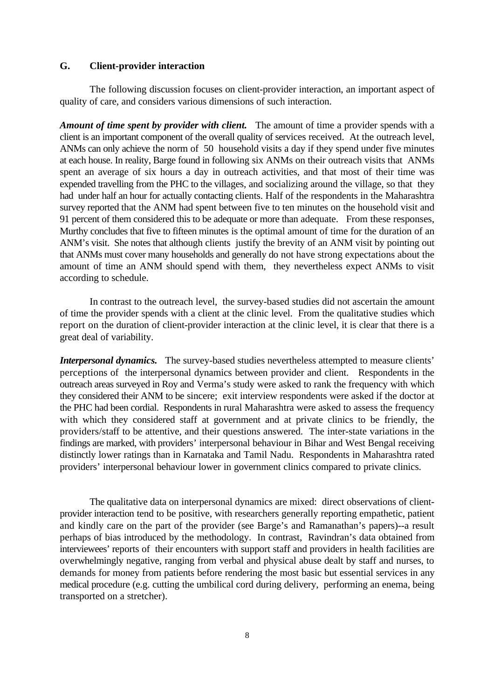#### **G. Client-provider interaction**

The following discussion focuses on client-provider interaction, an important aspect of quality of care, and considers various dimensions of such interaction.

*Amount of time spent by provider with client.* The amount of time a provider spends with a client is an important component of the overall quality of services received. At the outreach level, ANMs can only achieve the norm of 50 household visits a day if they spend under five minutes at each house. In reality, Barge found in following six ANMs on their outreach visits that ANMs spent an average of six hours a day in outreach activities, and that most of their time was expended travelling from the PHC to the villages, and socializing around the village, so that they had under half an hour for actually contacting clients. Half of the respondents in the Maharashtra survey reported that the ANM had spent between five to ten minutes on the household visit and 91 percent of them considered this to be adequate or more than adequate. From these responses, Murthy concludes that five to fifteen minutes is the optimal amount of time for the duration of an ANM's visit. She notes that although clients justify the brevity of an ANM visit by pointing out that ANMs must cover many households and generally do not have strong expectations about the amount of time an ANM should spend with them, they nevertheless expect ANMs to visit according to schedule.

In contrast to the outreach level, the survey-based studies did not ascertain the amount of time the provider spends with a client at the clinic level. From the qualitative studies which report on the duration of client-provider interaction at the clinic level, it is clear that there is a great deal of variability.

*Interpersonal dynamics.* The survey-based studies nevertheless attempted to measure clients' perceptions of the interpersonal dynamics between provider and client. Respondents in the outreach areas surveyed in Roy and Verma's study were asked to rank the frequency with which they considered their ANM to be sincere; exit interview respondents were asked if the doctor at the PHC had been cordial. Respondents in rural Maharashtra were asked to assess the frequency with which they considered staff at government and at private clinics to be friendly, the providers/staff to be attentive, and their questions answered. The inter-state variations in the findings are marked, with providers' interpersonal behaviour in Bihar and West Bengal receiving distinctly lower ratings than in Karnataka and Tamil Nadu. Respondents in Maharashtra rated providers' interpersonal behaviour lower in government clinics compared to private clinics.

The qualitative data on interpersonal dynamics are mixed: direct observations of clientprovider interaction tend to be positive, with researchers generally reporting empathetic, patient and kindly care on the part of the provider (see Barge's and Ramanathan's papers)--a result perhaps of bias introduced by the methodology. In contrast, Ravindran's data obtained from interviewees' reports of their encounters with support staff and providers in health facilities are overwhelmingly negative, ranging from verbal and physical abuse dealt by staff and nurses, to demands for money from patients before rendering the most basic but essential services in any medical procedure (e.g. cutting the umbilical cord during delivery, performing an enema, being transported on a stretcher).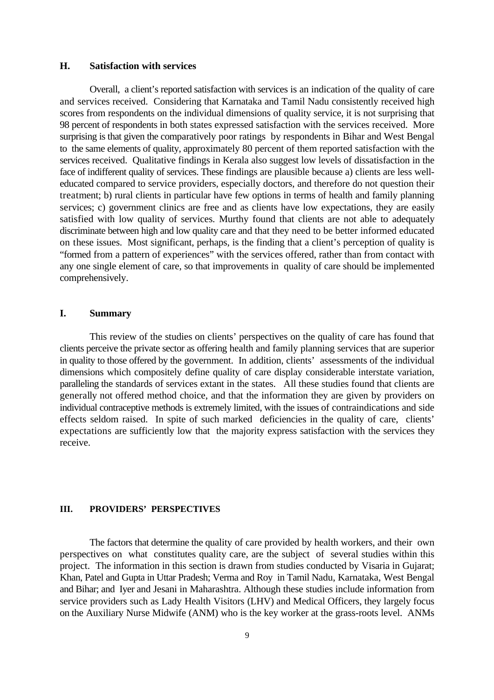#### **H. Satisfaction with services**

Overall, a client's reported satisfaction with services is an indication of the quality of care and services received. Considering that Karnataka and Tamil Nadu consistently received high scores from respondents on the individual dimensions of quality service, it is not surprising that 98 percent of respondents in both states expressed satisfaction with the services received. More surprising is that given the comparatively poor ratings by respondents in Bihar and West Bengal to the same elements of quality, approximately 80 percent of them reported satisfaction with the services received. Qualitative findings in Kerala also suggest low levels of dissatisfaction in the face of indifferent quality of services. These findings are plausible because a) clients are less welleducated compared to service providers, especially doctors, and therefore do not question their treatment; b) rural clients in particular have few options in terms of health and family planning services; c) government clinics are free and as clients have low expectations, they are easily satisfied with low quality of services. Murthy found that clients are not able to adequately discriminate between high and low quality care and that they need to be better informed educated on these issues. Most significant, perhaps, is the finding that a client's perception of quality is "formed from a pattern of experiences" with the services offered, rather than from contact with any one single element of care, so that improvements in quality of care should be implemented comprehensively.

## **I. Summary**

This review of the studies on clients' perspectives on the quality of care has found that clients perceive the private sector as offering health and family planning services that are superior in quality to those offered by the government. In addition, clients' assessments of the individual dimensions which compositely define quality of care display considerable interstate variation, paralleling the standards of services extant in the states. All these studies found that clients are generally not offered method choice, and that the information they are given by providers on individual contraceptive methods is extremely limited, with the issues of contraindications and side effects seldom raised. In spite of such marked deficiencies in the quality of care, clients' expectations are sufficiently low that the majority express satisfaction with the services they receive.

## **III. PROVIDERS' PERSPECTIVES**

The factors that determine the quality of care provided by health workers, and their own perspectives on what constitutes quality care, are the subject of several studies within this project. The information in this section is drawn from studies conducted by Visaria in Gujarat; Khan, Patel and Gupta in Uttar Pradesh; Verma and Roy in Tamil Nadu, Karnataka, West Bengal and Bihar; and Iyer and Jesani in Maharashtra. Although these studies include information from service providers such as Lady Health Visitors (LHV) and Medical Officers, they largely focus on the Auxiliary Nurse Midwife (ANM) who is the key worker at the grass-roots level. ANMs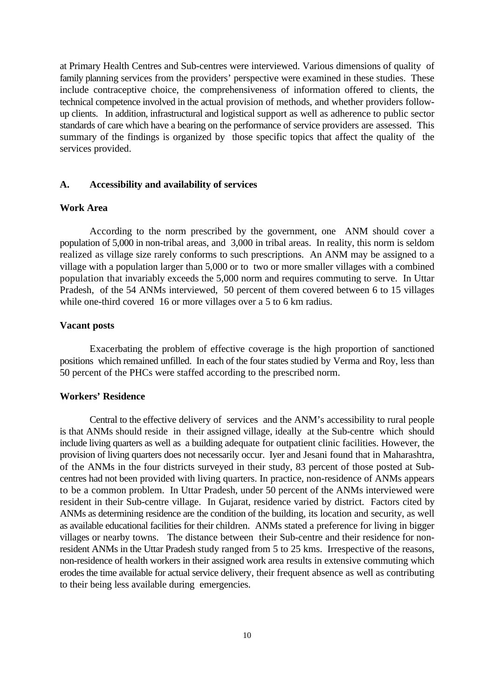at Primary Health Centres and Sub-centres were interviewed. Various dimensions of qualityof family planning services from the providers' perspective were examined in these studies. These include contraceptive choice, the comprehensiveness of information offered to clients, the technical competence involved in the actual provision of methods, and whether providers followup clients. In addition, infrastructural and logistical support as well as adherence to public sector standards of care which have a bearing on the performance of service providers are assessed. This summary of the findings is organized by those specific topics that affect the quality of the services provided.

#### **A. Accessibility and availability of services**

#### **Work Area**

According to the norm prescribed by the government, one ANM should cover a population of 5,000 in non-tribal areas, and 3,000 in tribal areas. In reality, this norm is seldom realized as village size rarely conforms to such prescriptions. An ANM may be assigned to a village with a population larger than 5,000 or to two or more smaller villages with a combined population that invariably exceeds the 5,000 norm and requires commuting to serve. In Uttar Pradesh, of the 54 ANMs interviewed, 50 percent of them covered between 6 to 15 villages while one-third covered 16 or more villages over a 5 to 6 km radius.

#### **Vacant posts**

Exacerbating the problem of effective coverage is the high proportion of sanctioned positions which remained unfilled. In each of the four states studied by Verma and Roy, less than 50 percent of the PHCs were staffed according to the prescribed norm.

## **Workers' Residence**

Central to the effective delivery of services and the ANM's accessibility to rural people is that ANMs should reside in their assigned village, ideally at the Sub-centre which should include living quarters as well as a building adequate for outpatient clinic facilities. However, the provision of living quarters does not necessarily occur. Iyer and Jesani found that in Maharashtra, of the ANMs in the four districts surveyed in their study, 83 percent of those posted at Subcentres had not been provided with living quarters. In practice, non-residence of ANMs appears to be a common problem. In Uttar Pradesh, under 50 percent of the ANMs interviewed were resident in their Sub-centre village. In Gujarat, residence varied by district. Factors cited by ANMs as determining residence are the condition of the building, its location and security, as well as available educational facilities for their children. ANMs stated a preference for living in bigger villages or nearby towns. The distance between their Sub-centre and their residence for nonresident ANMs in the Uttar Pradesh study ranged from 5 to 25 kms. Irrespective of the reasons, non-residence of health workers in their assigned work area results in extensive commuting which erodes the time available for actual service delivery, their frequent absence as well as contributing to their being less available during emergencies.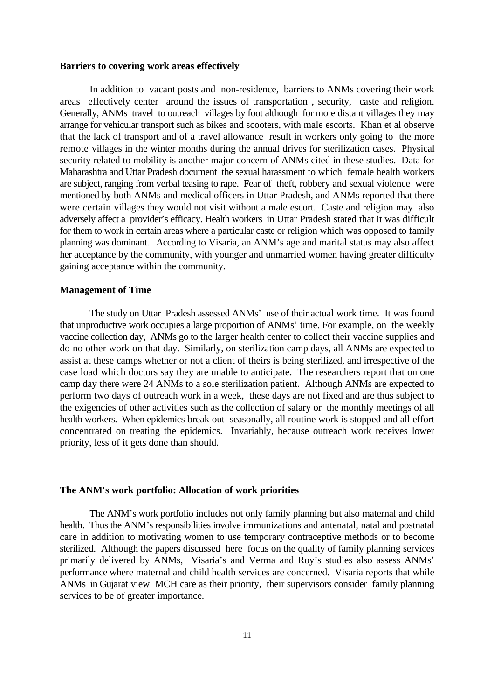#### **Barriers to covering work areas effectively**

In addition to vacant posts and non-residence, barriers to ANMs covering their work areas effectively center around the issues of transportation , security, caste and religion. Generally, ANMs travel to outreach villages by foot although for more distant villages they may arrange for vehicular transport such as bikes and scooters, with male escorts. Khan et al observe that the lack of transport and of a travel allowance result in workers only going to the more remote villages in the winter months during the annual drives for sterilization cases. Physical security related to mobility is another major concern of ANMs cited in these studies. Data for Maharashtra and Uttar Pradesh document the sexual harassment to which female health workers are subject, ranging from verbal teasing to rape. Fear of theft, robbery and sexual violence were mentioned by both ANMs and medical officers in Uttar Pradesh, and ANMs reported that there were certain villages they would not visit without a male escort. Caste and religion may also adversely affect a provider's efficacy. Health workers in Uttar Pradesh stated that it was difficult for them to work in certain areas where a particular caste or religion which was opposed to family planning was dominant. According to Visaria, an ANM's age and marital status may also affect her acceptance by the community, with younger and unmarried women having greater difficulty gaining acceptance within the community.

#### **Management of Time**

The study on Uttar Pradesh assessed ANMs' use of their actual work time. It was found that unproductive work occupies a large proportion of ANMs' time. For example, on the weekly vaccine collection day, ANMs go to the larger health center to collect their vaccine supplies and do no other work on that day. Similarly, on sterilization camp days, all ANMs are expected to assist at these camps whether or not a client of theirs is being sterilized, and irrespective of the case load which doctors say they are unable to anticipate. The researchers report that on one camp day there were 24 ANMs to a sole sterilization patient. Although ANMs are expected to perform two days of outreach work in a week, these days are not fixed and are thus subject to the exigencies of other activities such as the collection of salary or the monthly meetings of all health workers. When epidemics break out seasonally, all routine work is stopped and all effort concentrated on treating the epidemics. Invariably, because outreach work receives lower priority, less of it gets done than should.

#### **The ANM's work portfolio: Allocation of work priorities**

The ANM's work portfolio includes not only family planning but also maternal and child health. Thus the ANM's responsibilities involve immunizations and antenatal, natal and postnatal care in addition to motivating women to use temporary contraceptive methods or to become sterilized. Although the papers discussed here focus on the quality of family planning services primarily delivered by ANMs, Visaria's and Verma and Roy's studies also assess ANMs' performance where maternal and child health services are concerned. Visaria reports that while ANMs in Gujarat view MCH care as their priority, their supervisors consider family planning services to be of greater importance.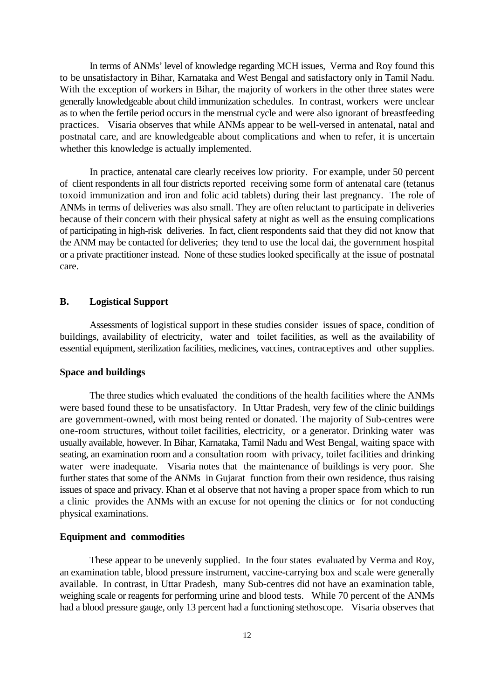In terms of ANMs' level of knowledge regarding MCH issues, Verma and Roy found this to be unsatisfactory in Bihar, Karnataka and West Bengal and satisfactory only in Tamil Nadu. With the exception of workers in Bihar, the majority of workers in the other three states were generally knowledgeable about child immunization schedules. In contrast, workers were unclear as to when the fertile period occurs in the menstrual cycle and were also ignorant of breastfeeding practices. Visaria observes that while ANMs appear to be well-versed in antenatal, natal and postnatal care, and are knowledgeable about complications and when to refer, it is uncertain whether this knowledge is actually implemented.

In practice, antenatal care clearly receives low priority. For example, under 50 percent of client respondents in all four districts reported receiving some form of antenatal care (tetanus toxoid immunization and iron and folic acid tablets) during their last pregnancy. The role of ANMs in terms of deliveries was also small. They are often reluctant to participate in deliveries because of their concern with their physical safety at night as well as the ensuing complications of participating in high-risk deliveries. In fact, client respondents said that they did not know that the ANM may be contacted for deliveries; they tend to use the local dai, the government hospital or a private practitioner instead. None of these studies looked specifically at the issue of postnatal care.

#### **B. Logistical Support**

Assessments of logistical support in these studies consider issues of space, condition of buildings, availability of electricity, water and toilet facilities, as well as the availability of essential equipment, sterilization facilities, medicines, vaccines, contraceptives and other supplies.

#### **Space and buildings**

The three studies which evaluated the conditions of the health facilities where the ANMs were based found these to be unsatisfactory. In Uttar Pradesh, very few of the clinic buildings are government-owned, with most being rented or donated. The majority of Sub-centres were one-room structures, without toilet facilities, electricity, or a generator. Drinking water was usually available, however. In Bihar, Karnataka, Tamil Nadu and West Bengal, waiting space with seating, an examination room and a consultation room with privacy, toilet facilities and drinking water were inadequate. Visaria notes that the maintenance of buildings is very poor. She further states that some of the ANMs in Gujarat function from their own residence, thus raising issues of space and privacy. Khan et al observe that not having a proper space from which to run a clinic provides the ANMs with an excuse for not opening the clinics or for not conducting physical examinations.

#### **Equipment and commodities**

These appear to be unevenly supplied. In the four states evaluated by Verma and Roy, an examination table, blood pressure instrument, vaccine-carrying box and scale were generally available. In contrast, in Uttar Pradesh, many Sub-centres did not have an examination table, weighing scale or reagents for performing urine and blood tests. While 70 percent of the ANMs had a blood pressure gauge, only 13 percent had a functioning stethoscope. Visaria observes that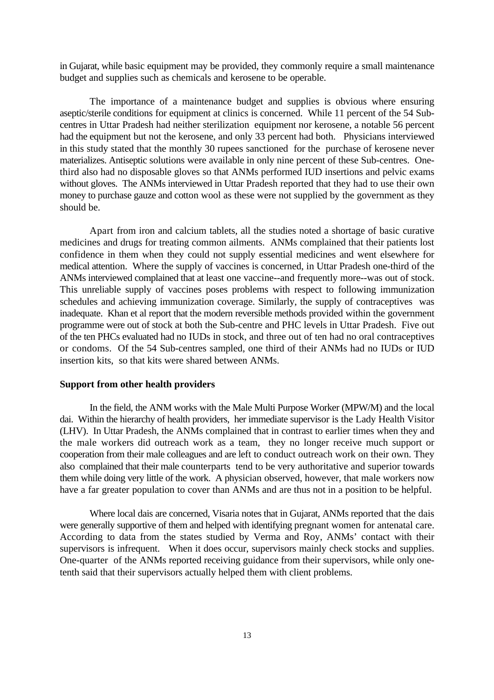in Gujarat, while basic equipment may be provided, they commonly require a small maintenance budget and supplies such as chemicals and kerosene to be operable.

The importance of a maintenance budget and supplies is obvious where ensuring aseptic/sterile conditions for equipment at clinics is concerned. While 11 percent of the 54 Subcentres in Uttar Pradesh had neither sterilization equipment nor kerosene, a notable 56 percent had the equipment but not the kerosene, and only 33 percent had both. Physicians interviewed in this study stated that the monthly 30 rupees sanctioned for the purchase of kerosene never materializes. Antiseptic solutions were available in only nine percent of these Sub-centres. Onethird also had no disposable gloves so that ANMs performed IUD insertions and pelvic exams without gloves. The ANMs interviewed in Uttar Pradesh reported that they had to use their own money to purchase gauze and cotton wool as these were not supplied by the government as they should be.

Apart from iron and calcium tablets, all the studies noted a shortage of basic curative medicines and drugs for treating common ailments. ANMs complained that their patients lost confidence in them when they could not supply essential medicines and went elsewhere for medical attention. Where the supply of vaccines is concerned, in Uttar Pradesh one-third of the ANMs interviewed complained that at least one vaccine--and frequently more--was out of stock. This unreliable supply of vaccines poses problems with respect to following immunization schedules and achieving immunization coverage. Similarly, the supply of contraceptives was inadequate. Khan et al report that the modern reversible methods provided within the government programme were out of stock at both the Sub-centre and PHC levels in Uttar Pradesh. Five out of the ten PHCs evaluated had no IUDs in stock, and three out of ten had no oral contraceptives or condoms. Of the 54 Sub-centres sampled, one third of their ANMs had no IUDs or IUD insertion kits, so that kits were shared between ANMs.

#### **Support from other health providers**

In the field, the ANM works with the Male Multi Purpose Worker (MPW/M) and the local dai. Within the hierarchy of health providers, her immediate supervisor is the Lady Health Visitor (LHV). In Uttar Pradesh, the ANMs complained that in contrast to earlier times when they and the male workers did outreach work as a team, they no longer receive much support or cooperation from their male colleagues and are left to conduct outreach work on their own. They also complained that their male counterparts tend to be very authoritative and superior towards them while doing very little of the work. A physician observed, however, that male workers now have a far greater population to cover than ANMs and are thus not in a position to be helpful.

Where local dais are concerned, Visaria notes that in Gujarat, ANMs reported that the dais were generally supportive of them and helped with identifying pregnant women for antenatal care. According to data from the states studied by Verma and Roy, ANMs' contact with their supervisors is infrequent. When it does occur, supervisors mainly check stocks and supplies. One-quarter of the ANMs reported receiving guidance from their supervisors, while only onetenth said that their supervisors actually helped them with client problems.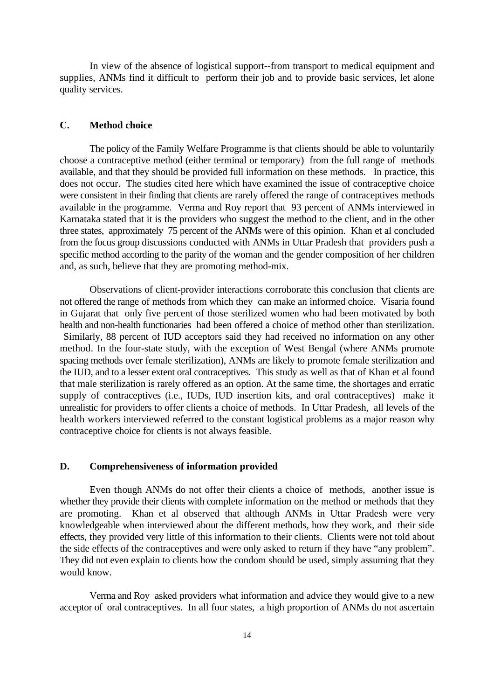In view of the absence of logistical support--from transport to medical equipment and supplies, ANMs find it difficult to perform their job and to provide basic services, let alone quality services.

## **C. Method choice**

The policy of the Family Welfare Programme is that clients should be able to voluntarily choose a contraceptive method (either terminal or temporary) from the full range of methods available, and that they should be provided full information on these methods. In practice, this does not occur. The studies cited here which have examined the issue of contraceptive choice were consistent in their finding that clients are rarely offered the range of contraceptives methods available in the programme. Verma and Roy report that 93 percent of ANMs interviewed in Karnataka stated that it is the providers who suggest the method to the client, and in the other three states, approximately 75 percent of the ANMs were of this opinion. Khan et al concluded from the focus group discussions conducted with ANMs in Uttar Pradesh that providers push a specific method according to the parity of the woman and the gender composition of her children and, as such, believe that they are promoting method-mix.

Observations of client-provider interactions corroborate this conclusion that clients are not offered the range of methods from which they can make an informed choice. Visaria found in Gujarat that only five percent of those sterilized women who had been motivated by both health and non-health functionaries had been offered a choice of method other than sterilization. Similarly, 88 percent of IUD acceptors said they had received no information on any other method. In the four-state study, with the exception of West Bengal (where ANMs promote spacing methods over female sterilization), ANMs are likely to promote female sterilization and the IUD, and to a lesser extent oral contraceptives. This study as well as that of Khan et al found that male sterilization is rarely offered as an option. At the same time, the shortages and erratic supply of contraceptives (i.e., IUDs, IUD insertion kits, and oral contraceptives) make it unrealistic for providers to offer clients a choice of methods. In Uttar Pradesh, all levels of the health workers interviewed referred to the constant logistical problems as a major reason why contraceptive choice for clients is not always feasible.

#### **D. Comprehensiveness of information provided**

Even though ANMs do not offer their clients a choice of methods, another issue is whether they provide their clients with complete information on the method or methods that they are promoting. Khan et al observed that although ANMs in Uttar Pradesh were very knowledgeable when interviewed about the different methods, how they work, and their side effects, they provided very little of this information to their clients. Clients were not told about the side effects of the contraceptives and were only asked to return if they have "any problem". They did not even explain to clients how the condom should be used, simply assuming that they would know.

Verma and Roy asked providers what information and advice they would give to a new acceptor of oral contraceptives. In all four states, a high proportion of ANMs do not ascertain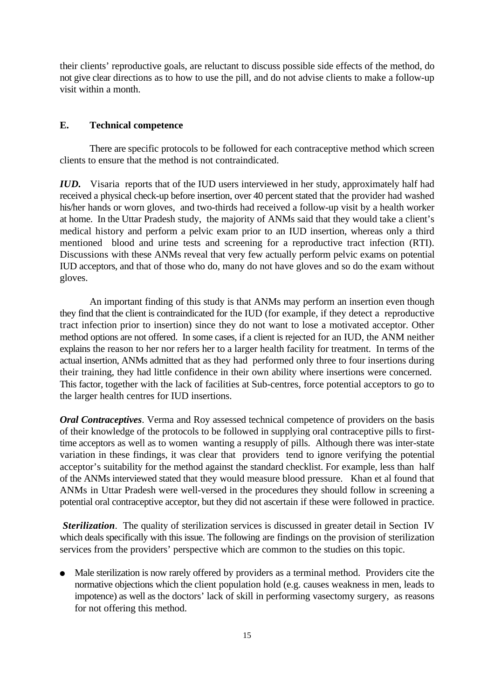their clients' reproductive goals, are reluctant to discuss possible side effects of the method, do not give clear directions as to how to use the pill, and do not advise clients to make a follow-up visit within a month.

## **E. Technical competence**

There are specific protocols to be followed for each contraceptive method which screen clients to ensure that the method is not contraindicated.

*IUD.* Visaria reports that of the IUD users interviewed in her study, approximately half had received a physical check-up before insertion, over 40 percent stated that the provider had washed his/her hands or worn gloves, and two-thirds had received a follow-up visit by a health worker at home. In the Uttar Pradesh study, the majority of ANMs said that they would take a client's medical history and perform a pelvic exam prior to an IUD insertion, whereas only a third mentioned blood and urine tests and screening for a reproductive tract infection (RTI). Discussions with these ANMs reveal that very few actually perform pelvic exams on potential IUD acceptors, and that of those who do, many do not have gloves and so do the exam without gloves.

An important finding of this study is that ANMs may perform an insertion even though they find that the client is contraindicated for the IUD (for example, if they detect a reproductive tract infection prior to insertion) since they do not want to lose a motivated acceptor. Other method options are not offered. In some cases, if a client is rejected for an IUD, the ANM neither explains the reason to her nor refers her to a larger health facility for treatment. In terms of the actual insertion, ANMs admitted that as they had performed only three to four insertions during their training, they had little confidence in their own ability where insertions were concerned. This factor, together with the lack of facilities at Sub-centres, force potential acceptors to go to the larger health centres for IUD insertions.

*Oral Contraceptives*. Verma and Roy assessed technical competence of providers on the basis of their knowledge of the protocols to be followed in supplying oral contraceptive pills to firsttime acceptors as well as to women wanting a resupply of pills. Although there was inter-state variation in these findings, it was clear that providers tend to ignore verifying the potential acceptor's suitability for the method against the standard checklist. For example, less than half of the ANMs interviewed stated that they would measure blood pressure. Khan et al found that ANMs in Uttar Pradesh were well-versed in the procedures they should follow in screening a potential oral contraceptive acceptor, but they did not ascertain if these were followed in practice.

**Sterilization.** The quality of sterilization services is discussed in greater detail in Section IV which deals specifically with this issue. The following are findings on the provision of sterilization services from the providers' perspective which are common to the studies on this topic.

<sup>é</sup> Male sterilization is now rarely offered by providers as a terminal method. Providers cite the normative objections which the client population hold (e.g. causes weakness in men, leads to impotence) as well as the doctors' lack of skill in performing vasectomy surgery, as reasons for not offering this method.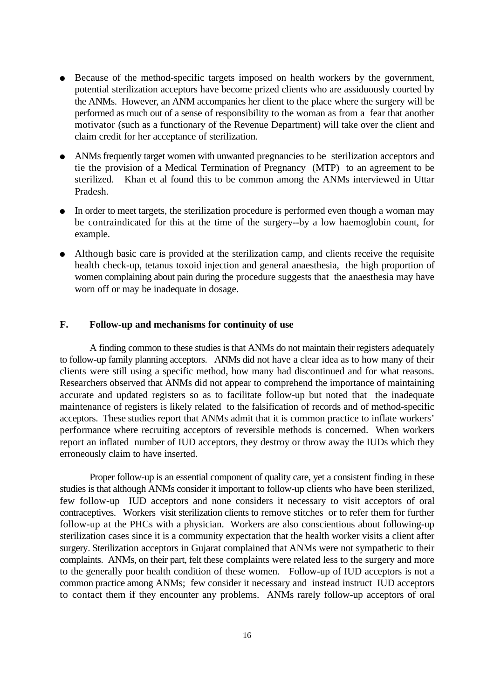- <sup>é</sup> Because of the method-specific targets imposed on health workers by the government, potential sterilization acceptors have become prized clients who are assiduously courted by the ANMs. However, an ANM accompanies her client to the place where the surgery will be performed as much out of a sense of responsibility to the woman as from a fear that another motivator (such as a functionary of the Revenue Department) will take over the client and claim credit for her acceptance of sterilization.
- <sup>é</sup> ANMs frequently target women with unwanted pregnancies to be sterilization acceptors and tie the provision of a Medical Termination of Pregnancy (MTP) to an agreement to be sterilized. Khan et al found this to be common among the ANMs interviewed in Uttar Pradesh.
- In order to meet targets, the sterilization procedure is performed even though a woman may be contraindicated for this at the time of the surgery--by a low haemoglobin count, for example.
- <sup>é</sup> Although basic care is provided at the sterilization camp, and clients receive the requisite health check-up, tetanus toxoid injection and general anaesthesia, the high proportion of women complaining about pain during the procedure suggests that the anaesthesia may have worn off or may be inadequate in dosage.

## **F. Follow-up and mechanisms for continuity of use**

A finding common to these studies is that ANMs do not maintain their registers adequately to follow-up family planning acceptors. ANMs did not have a clear idea as to how many of their clients were still using a specific method, how many had discontinued and for what reasons. Researchers observed that ANMs did not appear to comprehend the importance of maintaining accurate and updated registers so as to facilitate follow-up but noted that the inadequate maintenance of registers is likely related to the falsification of records and of method-specific acceptors. These studies report that ANMs admit that it is common practice to inflate workers' performance where recruiting acceptors of reversible methods is concerned. When workers report an inflated number of IUD acceptors, they destroy or throw away the IUDs which they erroneously claim to have inserted.

Proper follow-up is an essential component of quality care, yet a consistent finding in these studies is that although ANMs consider it important to follow-up clients who have been sterilized, few follow-up IUD acceptors and none considers it necessary to visit acceptors of oral contraceptives. Workers visit sterilization clients to remove stitches or to refer them for further follow-up at the PHCs with a physician. Workers are also conscientious about following-up sterilization cases since it is a community expectation that the health worker visits a client after surgery. Sterilization acceptors in Gujarat complained that ANMs were not sympathetic to their complaints. ANMs, on their part, felt these complaints were related less to the surgery and more to the generally poor health condition of these women. Follow-up of IUD acceptors is not a common practice among ANMs; few consider it necessary and instead instruct IUD acceptors to contact them if they encounter any problems. ANMs rarely follow-up acceptors of oral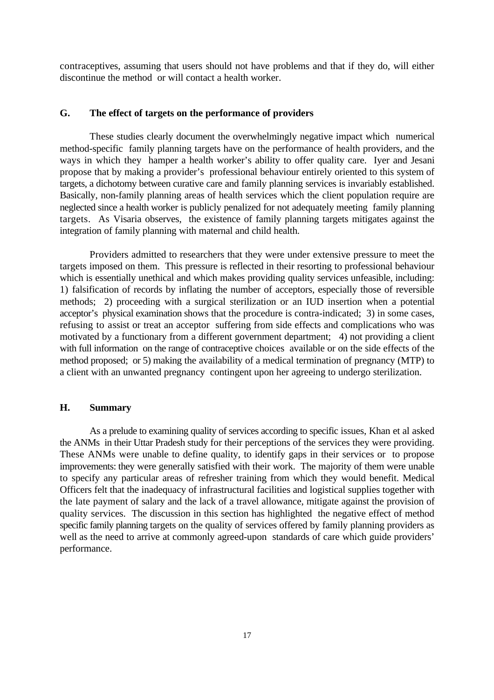contraceptives, assuming that users should not have problems and that if they do, will either discontinue the method or will contact a health worker.

#### **G. The effect of targets on the performance of providers**

These studies clearly document the overwhelmingly negative impact which numerical method-specific family planning targets have on the performance of health providers, and the ways in which they hamper a health worker's ability to offer quality care. Iyer and Jesani propose that by making a provider's professional behaviour entirely oriented to this system of targets, a dichotomy between curative care and family planning services is invariably established. Basically, non-family planning areas of health services which the client population require are neglected since a health worker is publicly penalized for not adequately meeting family planning targets. As Visaria observes, the existence of family planning targets mitigates against the integration of family planning with maternal and child health.

Providers admitted to researchers that they were under extensive pressure to meet the targets imposed on them. This pressure is reflected in their resorting to professional behaviour which is essentially unethical and which makes providing quality services unfeasible, including: 1) falsification of records by inflating the number of acceptors, especially those of reversible methods; 2) proceeding with a surgical sterilization or an IUD insertion when a potential acceptor's physical examination shows that the procedure is contra-indicated; 3) in some cases, refusing to assist or treat an acceptor suffering from side effects and complications who was motivated by a functionary from a different government department; 4) not providing a client with full information on the range of contraceptive choices available or on the side effects of the method proposed; or 5) making the availability of a medical termination of pregnancy (MTP) to a client with an unwanted pregnancy contingent upon her agreeing to undergo sterilization.

## **H. Summary**

As a prelude to examining quality of services according to specific issues, Khan et al asked the ANMs in their Uttar Pradesh study for their perceptions of the services they were providing. These ANMs were unable to define quality, to identify gaps in their services or to propose improvements: they were generally satisfied with their work. The majority of them were unable to specify any particular areas of refresher training from which they would benefit. Medical Officers felt that the inadequacy of infrastructural facilities and logistical supplies together with the late payment of salary and the lack of a travel allowance, mitigate against the provision of quality services. The discussion in this section has highlighted the negative effect of method specific family planning targets on the quality of services offered by family planning providers as well as the need to arrive at commonly agreed-upon standards of care which guide providers' performance.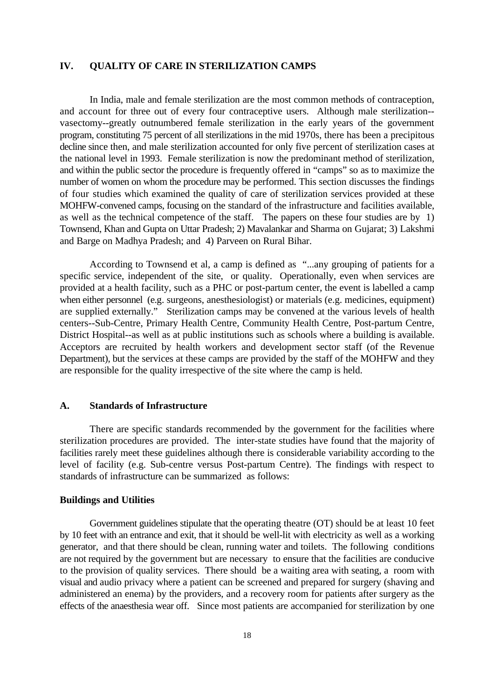#### **IV. QUALITY OF CARE IN STERILIZATION CAMPS**

In India, male and female sterilization are the most common methods of contraception, and account for three out of every four contraceptive users. Although male sterilization- vasectomy--greatly outnumbered female sterilization in the early years of the government program, constituting 75 percent of all sterilizations in the mid 1970s, there has been a precipitous decline since then, and male sterilization accounted for only five percent of sterilization cases at the national level in 1993. Female sterilization is now the predominant method of sterilization, and within the public sector the procedure is frequently offered in "camps" so as to maximize the number of women on whom the procedure may be performed. This section discusses the findings of four studies which examined the quality of care of sterilization services provided at these MOHFW-convened camps, focusing on the standard of the infrastructure and facilities available, as well as the technical competence of the staff. The papers on these four studies are by 1) Townsend, Khan and Gupta on Uttar Pradesh; 2) Mavalankar and Sharma on Gujarat; 3) Lakshmi and Barge on Madhya Pradesh; and 4) Parveen on Rural Bihar.

According to Townsend et al, a camp is defined as "...any grouping of patients for a specific service, independent of the site, or quality. Operationally, even when services are provided at a health facility, such as a PHC or post-partum center, the event is labelled a camp when either personnel (e.g. surgeons, anesthesiologist) or materials (e.g. medicines, equipment) are supplied externally." Sterilization camps may be convened at the various levels of health centers--Sub-Centre, Primary Health Centre, Community Health Centre, Post-partum Centre, District Hospital--as well as at public institutions such as schools where a building is available. Acceptors are recruited by health workers and development sector staff (of the Revenue Department), but the services at these camps are provided by the staff of the MOHFW and they are responsible for the quality irrespective of the site where the camp is held.

## **A. Standards of Infrastructure**

There are specific standards recommended by the government for the facilities where sterilization procedures are provided. The inter-state studies have found that the majority of facilities rarely meet these guidelines although there is considerable variability according to the level of facility (e.g. Sub-centre versus Post-partum Centre). The findings with respect to standards of infrastructure can be summarized as follows:

#### **Buildings and Utilities**

Government guidelines stipulate that the operating theatre (OT) should be at least 10 feet by 10 feet with an entrance and exit, that it should be well-lit with electricity as well as a working generator, and that there should be clean, running water and toilets. The following conditions are not required by the government but are necessary to ensure that the facilities are conducive to the provision of quality services. There should be a waiting area with seating, a room with visual and audio privacy where a patient can be screened and prepared for surgery (shaving and administered an enema) by the providers, and a recovery room for patients after surgery as the effects of the anaesthesia wear off. Since most patients are accompanied for sterilization by one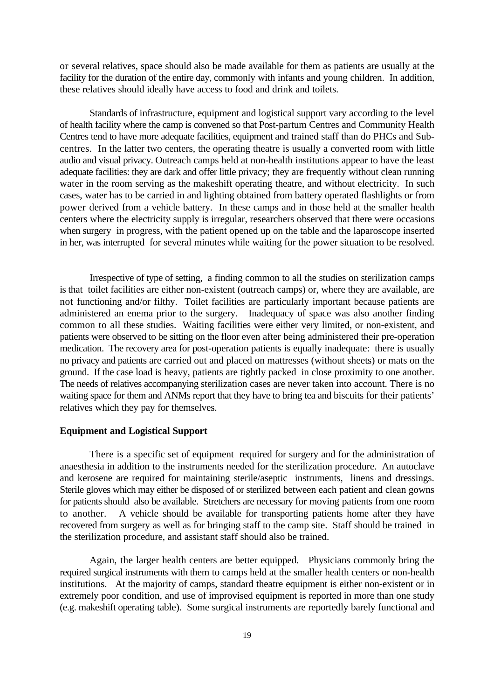or several relatives, space should also be made available for them as patients are usually at the facility for the duration of the entire day, commonly with infants and young children. In addition, these relatives should ideally have access to food and drink and toilets.

Standards of infrastructure, equipment and logistical support vary according to the level of health facility where the camp is convened so that Post-partum Centres and Community Health Centres tend to have more adequate facilities, equipment and trained staff than do PHCs and Subcentres. In the latter two centers, the operating theatre is usually a converted room with little audio and visual privacy. Outreach camps held at non-health institutions appear to have the least adequate facilities: they are dark and offer little privacy; they are frequently without clean running water in the room serving as the makeshift operating theatre, and without electricity. In such cases, water has to be carried in and lighting obtained from battery operated flashlights or from power derived from a vehicle battery. In these camps and in those held at the smaller health centers where the electricity supply is irregular, researchers observed that there were occasions when surgery in progress, with the patient opened up on the table and the laparoscope inserted in her, was interrupted for several minutes while waiting for the power situation to be resolved.

Irrespective of type of setting, a finding common to all the studies on sterilization camps is that toilet facilities are either non-existent (outreach camps) or, where they are available, are not functioning and/or filthy. Toilet facilities are particularly important because patients are administered an enema prior to the surgery. Inadequacy of space was also another finding common to all these studies. Waiting facilities were either very limited, or non-existent, and patients were observed to be sitting on the floor even after being administered their pre-operation medication. The recovery area for post-operation patients is equally inadequate: there is usually no privacy and patients are carried out and placed on mattresses (without sheets) or mats on the ground. If the case load is heavy, patients are tightly packed in close proximity to one another. The needs of relatives accompanying sterilization cases are never taken into account. There is no waiting space for them and ANMs report that they have to bring tea and biscuits for their patients' relatives which they pay for themselves.

#### **Equipment and Logistical Support**

There is a specific set of equipment required for surgery and for the administration of anaesthesia in addition to the instruments needed for the sterilization procedure. An autoclave and kerosene are required for maintaining sterile/aseptic instruments, linens and dressings. Sterile gloves which may either be disposed of or sterilized between each patient and clean gowns for patients should also be available. Stretchers are necessary for moving patients from one room to another. A vehicle should be available for transporting patients home after they have recovered from surgery as well as for bringing staff to the camp site. Staff should be trained in the sterilization procedure, and assistant staff should also be trained.

Again, the larger health centers are better equipped. Physicians commonly bring the required surgical instruments with them to camps held at the smaller health centers or non-health institutions. At the majority of camps, standard theatre equipment is either non-existent or in extremely poor condition, and use of improvised equipment is reported in more than one study (e.g. makeshift operating table). Some surgical instruments are reportedly barely functional and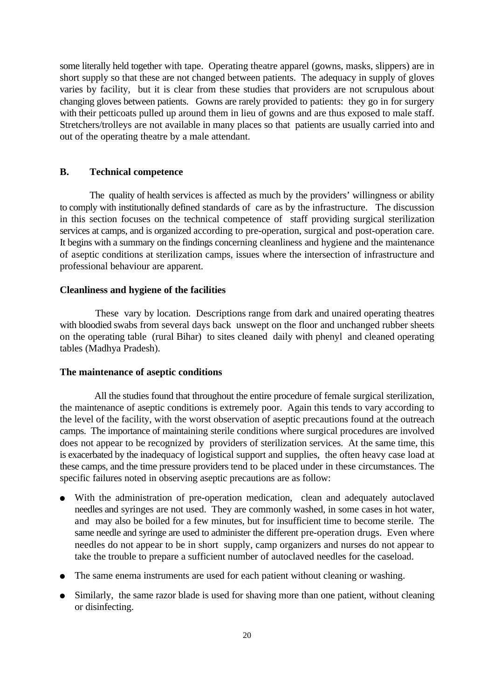some literally held together with tape. Operating theatre apparel (gowns, masks, slippers) are in short supply so that these are not changed between patients. The adequacy in supply of gloves varies by facility, but it is clear from these studies that providers are not scrupulous about changing gloves between patients. Gowns are rarely provided to patients: they go in for surgery with their petticoats pulled up around them in lieu of gowns and are thus exposed to male staff. Stretchers/trolleys are not available in many places so that patients are usually carried into and out of the operating theatre by a male attendant.

## **B. Technical competence**

The quality of health services is affected as much by the providers' willingness or ability to comply with institutionally defined standards of care as by the infrastructure. The discussion in this section focuses on the technical competence of staff providing surgical sterilization services at camps, and is organized according to pre-operation, surgical and post-operation care. It begins with a summary on the findings concerning cleanliness and hygiene and the maintenance of aseptic conditions at sterilization camps, issues where the intersection of infrastructure and professional behaviour are apparent.

#### **Cleanliness and hygiene of the facilities**

 These vary by location. Descriptions range from dark and unaired operating theatres with bloodied swabs from several days back unswept on the floor and unchanged rubber sheets on the operating table (rural Bihar) to sites cleaned daily with phenyl and cleaned operating tables (Madhya Pradesh).

#### **The maintenance of aseptic conditions**

 All the studies found that throughout the entire procedure of female surgical sterilization, the maintenance of aseptic conditions is extremely poor. Again this tends to vary according to the level of the facility, with the worst observation of aseptic precautions found at the outreach camps. The importance of maintaining sterile conditions where surgical procedures are involved does not appear to be recognized by providers of sterilization services. At the same time, this is exacerbated by the inadequacy of logistical support and supplies, the often heavy case load at these camps, and the time pressure providers tend to be placed under in these circumstances. The specific failures noted in observing aseptic precautions are as follow:

- <sup>é</sup> With the administration of pre-operation medication, clean and adequately autoclaved needles and syringes are not used. They are commonly washed, in some cases in hot water, and may also be boiled for a few minutes, but for insufficient time to become sterile. The same needle and syringe are used to administer the different pre-operation drugs. Even where needles do not appear to be in short supply, camp organizers and nurses do not appear to take the trouble to prepare a sufficient number of autoclaved needles for the caseload.
- <sup>é</sup> The same enema instruments are used for each patient without cleaning or washing.
- <sup>é</sup> Similarly, the same razor blade is used for shaving more than one patient, without cleaning or disinfecting.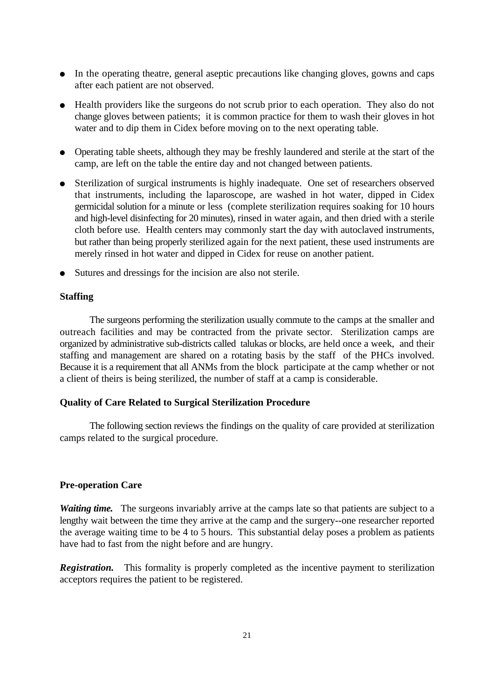- In the operating theatre, general aseptic precautions like changing gloves, gowns and caps after each patient are not observed.
- <sup>é</sup> Health providers like the surgeons do not scrub prior to each operation. They also do not change gloves between patients; it is common practice for them to wash their gloves in hot water and to dip them in Cidex before moving on to the next operating table.
- <sup>é</sup> Operating table sheets, although they may be freshly laundered and sterile at the start of the camp, are left on the table the entire day and not changed between patients.
- <sup>é</sup> Sterilization of surgical instruments is highly inadequate. One set of researchers observed that instruments, including the laparoscope, are washed in hot water, dipped in Cidex germicidal solution for a minute or less (complete sterilization requires soaking for 10 hours and high-level disinfecting for 20 minutes), rinsed in water again, and then dried with a sterile cloth before use. Health centers may commonly start the day with autoclaved instruments, but rather than being properly sterilized again for the next patient, these used instruments are merely rinsed in hot water and dipped in Cidex for reuse on another patient.
- <sup>é</sup> Sutures and dressings for the incision are also not sterile.

## **Staffing**

The surgeons performing the sterilization usually commute to the camps at the smaller and outreach facilities and may be contracted from the private sector. Sterilization camps are organized by administrative sub-districts called talukas or blocks, are held once a week, and their staffing and management are shared on a rotating basis by the staff of the PHCs involved. Because it is a requirement that all ANMs from the block participate at the camp whether or not a client of theirs is being sterilized, the number of staff at a camp is considerable.

#### **Quality of Care Related to Surgical Sterilization Procedure**

The following section reviews the findings on the quality of care provided at sterilization camps related to the surgical procedure.

#### **Pre-operation Care**

*Waiting time.* The surgeons invariably arrive at the camps late so that patients are subject to a lengthy wait between the time they arrive at the camp and the surgery--one researcher reported the average waiting time to be 4 to 5 hours. This substantial delay poses a problem as patients have had to fast from the night before and are hungry.

**Registration.** This formality is properly completed as the incentive payment to sterilization acceptors requires the patient to be registered.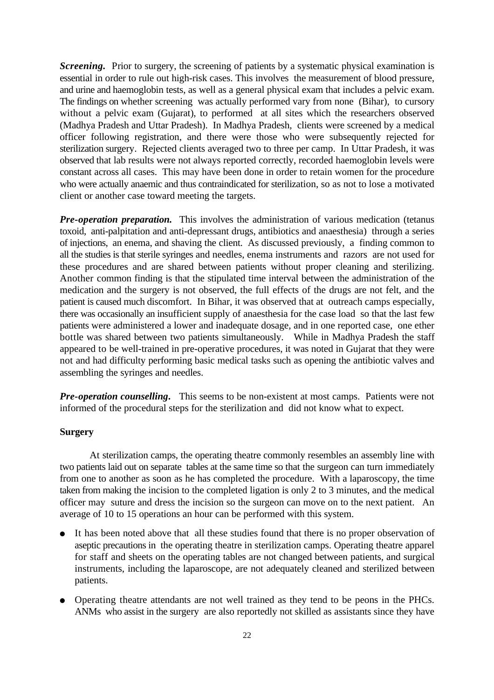*Screening.* Prior to surgery, the screening of patients by a systematic physical examination is essential in order to rule out high-risk cases. This involves the measurement of blood pressure, and urine and haemoglobin tests, as well as a general physical exam that includes a pelvic exam. The findings on whether screening was actually performed vary from none (Bihar), to cursory without a pelvic exam (Gujarat), to performed at all sites which the researchers observed (Madhya Pradesh and Uttar Pradesh). In Madhya Pradesh, clients were screened by a medical officer following registration, and there were those who were subsequently rejected for sterilization surgery. Rejected clients averaged two to three per camp. In Uttar Pradesh, it was observed that lab results were not always reported correctly, recorded haemoglobin levels were constant across all cases. This may have been done in order to retain women for the procedure who were actually anaemic and thus contraindicated for sterilization, so as not to lose a motivated client or another case toward meeting the targets.

*Pre-operation preparation.* This involves the administration of various medication (tetanus toxoid, anti-palpitation and anti-depressant drugs, antibiotics and anaesthesia) through a series of injections, an enema, and shaving the client. As discussed previously, a finding common to all the studies is that sterile syringes and needles, enema instruments and razors are not used for these procedures and are shared between patients without proper cleaning and sterilizing. Another common finding is that the stipulated time interval between the administration of the medication and the surgery is not observed, the full effects of the drugs are not felt, and the patient is caused much discomfort. In Bihar, it was observed that at outreach camps especially, there was occasionally an insufficient supply of anaesthesia for the case load so that the last few patients were administered a lower and inadequate dosage, and in one reported case, one ether bottle was shared between two patients simultaneously. While in Madhya Pradesh the staff appeared to be well-trained in pre-operative procedures, it was noted in Gujarat that they were not and had difficulty performing basic medical tasks such as opening the antibiotic valves and assembling the syringes and needles.

*Pre-operation counselling***.** This seems to be non-existent at most camps. Patients were not informed of the procedural steps for the sterilization and did not know what to expect.

## **Surgery**

At sterilization camps, the operating theatre commonly resembles an assembly line with two patients laid out on separate tables at the same time so that the surgeon can turn immediately from one to another as soon as he has completed the procedure. With a laparoscopy, the time taken from making the incision to the completed ligation is only 2 to 3 minutes, and the medical officer may suture and dress the incision so the surgeon can move on to the next patient. An average of 10 to 15 operations an hour can be performed with this system.

- It has been noted above that all these studies found that there is no proper observation of aseptic precautions in the operating theatre in sterilization camps. Operating theatre apparel for staff and sheets on the operating tables are not changed between patients, and surgical instruments, including the laparoscope, are not adequately cleaned and sterilized between patients.
- <sup>é</sup> Operating theatre attendants are not well trained as they tend to be peons in the PHCs. ANMs who assist in the surgery are also reportedly not skilled as assistants since they have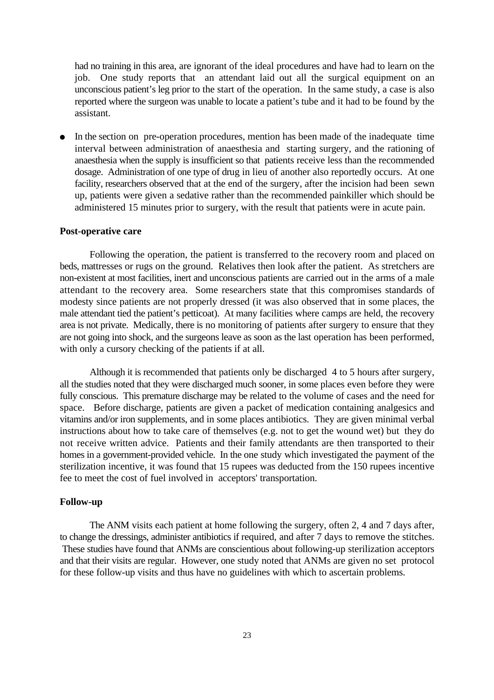had no training in this area, are ignorant of the ideal procedures and have had to learn on the job. One study reports that an attendant laid out all the surgical equipment on an unconscious patient's leg prior to the start of the operation. In the same study, a case is also reported where the surgeon was unable to locate a patient's tube and it had to be found by the assistant.

In the section on pre-operation procedures, mention has been made of the inadequate time interval between administration of anaesthesia and starting surgery, and the rationing of anaesthesia when the supply is insufficient so that patients receive less than the recommended dosage. Administration of one type of drug in lieu of another also reportedly occurs. At one facility, researchers observed that at the end of the surgery, after the incision had been sewn up, patients were given a sedative rather than the recommended painkiller which should be administered 15 minutes prior to surgery, with the result that patients were in acute pain.

#### **Post-operative care**

Following the operation, the patient is transferred to the recovery room and placed on beds, mattresses or rugs on the ground. Relatives then look after the patient. As stretchers are non-existent at most facilities, inert and unconscious patients are carried out in the arms of a male attendant to the recovery area. Some researchers state that this compromises standards of modesty since patients are not properly dressed (it was also observed that in some places, the male attendant tied the patient's petticoat). At many facilities where camps are held, the recovery area is not private. Medically, there is no monitoring of patients after surgery to ensure that they are not going into shock, and the surgeons leave as soon as the last operation has been performed, with only a cursory checking of the patients if at all.

Although it is recommended that patients only be discharged 4 to 5 hours after surgery, all the studies noted that they were discharged much sooner, in some places even before they were fully conscious. This premature discharge may be related to the volume of cases and the need for space. Before discharge, patients are given a packet of medication containing analgesics and vitamins and/or iron supplements, and in some places antibiotics. They are given minimal verbal instructions about how to take care of themselves (e.g. not to get the wound wet) but they do not receive written advice. Patients and their family attendants are then transported to their homes in a government-provided vehicle. In the one study which investigated the payment of the sterilization incentive, it was found that 15 rupees was deducted from the 150 rupees incentive fee to meet the cost of fuel involved in acceptors' transportation.

#### **Follow-up**

The ANM visits each patient at home following the surgery, often 2, 4 and 7 days after, to change the dressings, administer antibiotics if required, and after 7 days to remove the stitches. These studies have found that ANMs are conscientious about following-up sterilization acceptors and that their visits are regular. However, one study noted that ANMs are given no set protocol for these follow-up visits and thus have no guidelines with which to ascertain problems.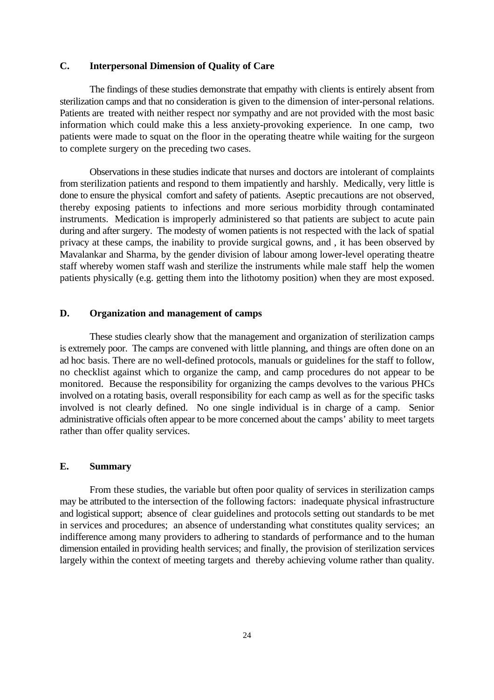## **C. Interpersonal Dimension of Quality of Care**

The findings of these studies demonstrate that empathy with clients is entirely absent from sterilization camps and that no consideration is given to the dimension of inter-personal relations. Patients are treated with neither respect nor sympathy and are not provided with the most basic information which could make this a less anxiety-provoking experience. In one camp, two patients were made to squat on the floor in the operating theatre while waiting for the surgeon to complete surgery on the preceding two cases.

Observations in these studies indicate that nurses and doctors are intolerant of complaints from sterilization patients and respond to them impatiently and harshly. Medically, very little is done to ensure the physical comfort and safety of patients. Aseptic precautions are not observed, thereby exposing patients to infections and more serious morbidity through contaminated instruments. Medication is improperly administered so that patients are subject to acute pain during and after surgery. The modesty of women patients is not respected with the lack of spatial privacy at these camps, the inability to provide surgical gowns, and , it has been observed by Mavalankar and Sharma, by the gender division of labour among lower-level operating theatre staff whereby women staff wash and sterilize the instruments while male staff help the women patients physically (e.g. getting them into the lithotomy position) when they are most exposed.

## **D. Organization and management of camps**

These studies clearly show that the management and organization of sterilization camps is extremely poor. The camps are convened with little planning, and things are often done on an ad hoc basis. There are no well-defined protocols, manuals or guidelines for the staff to follow, no checklist against which to organize the camp, and camp procedures do not appear to be monitored. Because the responsibility for organizing the camps devolves to the various PHCs involved on a rotating basis, overall responsibility for each camp as well as for the specific tasks involved is not clearly defined. No one single individual is in charge of a camp. Senior administrative officials often appear to be more concerned about the camps' ability to meet targets rather than offer quality services.

#### **E. Summary**

From these studies, the variable but often poor quality of services in sterilization camps may be attributed to the intersection of the following factors: inadequate physical infrastructure and logistical support; absence of clear guidelines and protocols setting out standards to be met in services and procedures; an absence of understanding what constitutes quality services; an indifference among many providers to adhering to standards of performance and to the human dimension entailed in providing health services; and finally, the provision of sterilization services largely within the context of meeting targets and thereby achieving volume rather than quality.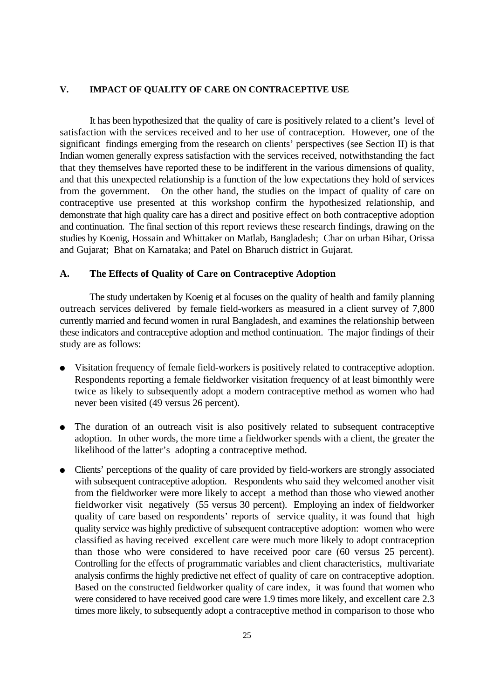#### **V. IMPACT OF QUALITY OF CARE ON CONTRACEPTIVE USE**

It has been hypothesized that the quality of care is positively related to a client's level of satisfaction with the services received and to her use of contraception. However, one of the significant findings emerging from the research on clients' perspectives (see Section II) is that Indian women generally express satisfaction with the services received, notwithstanding the fact that they themselves have reported these to be indifferent in the various dimensions of quality, and that this unexpected relationship is a function of the low expectations they hold of services from the government. On the other hand, the studies on the impact of quality of care on contraceptive use presented at this workshop confirm the hypothesized relationship, and demonstrate that high quality care has a direct and positive effect on both contraceptive adoption and continuation. The final section of this report reviews these research findings, drawing on the studies by Koenig, Hossain and Whittaker on Matlab, Bangladesh; Char on urban Bihar, Orissa and Gujarat; Bhat on Karnataka; and Patel on Bharuch district in Gujarat.

#### **A. The Effects of Quality of Care on Contraceptive Adoption**

The study undertaken by Koenig et al focuses on the quality of health and family planning outreach services delivered by female field-workers as measured in a client survey of 7,800 currently married and fecund women in rural Bangladesh, and examines the relationship between these indicators and contraceptive adoption and method continuation. The major findings of their study are as follows:

- <sup>é</sup> Visitation frequency of female field-workers is positively related to contraceptive adoption. Respondents reporting a female fieldworker visitation frequency of at least bimonthly were twice as likely to subsequently adopt a modern contraceptive method as women who had never been visited (49 versus 26 percent).
- The duration of an outreach visit is also positively related to subsequent contraceptive adoption. In other words, the more time a fieldworker spends with a client, the greater the likelihood of the latter's adopting a contraceptive method.
- <sup>é</sup> Clients' perceptions of the quality of care provided by field-workers are strongly associated with subsequent contraceptive adoption. Respondents who said they welcomed another visit from the fieldworker were more likely to accept a method than those who viewed another fieldworker visit negatively (55 versus 30 percent). Employing an index of fieldworker quality of care based on respondents' reports of service quality, it was found that high quality service was highly predictive of subsequent contraceptive adoption: women who were classified as having received excellent care were much more likely to adopt contraception than those who were considered to have received poor care (60 versus 25 percent). Controlling for the effects of programmatic variables and client characteristics, multivariate analysis confirms the highly predictive net effect of quality of care on contraceptive adoption. Based on the constructed fieldworker quality of care index, it was found that women who were considered to have received good care were 1.9 times more likely, and excellent care 2.3 times more likely, to subsequently adopt a contraceptive method in comparison to those who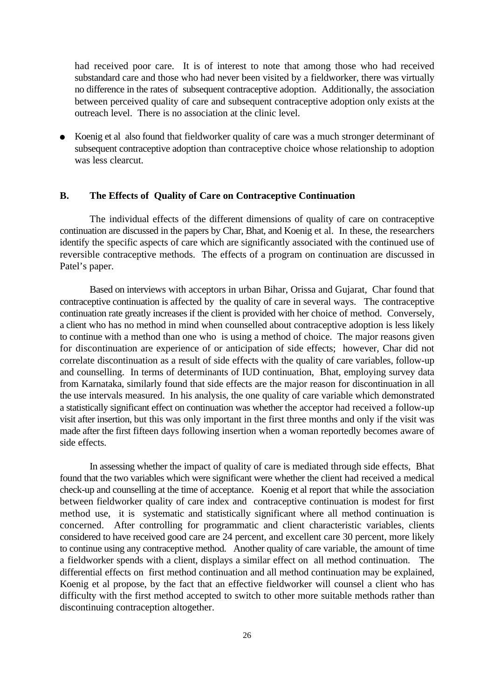had received poor care. It is of interest to note that among those who had received substandard care and those who had never been visited by a fieldworker, there was virtually no difference in the rates of subsequent contraceptive adoption. Additionally, the association between perceived quality of care and subsequent contraceptive adoption only exists at the outreach level. There is no association at the clinic level.

Koenig et al also found that fieldworker quality of care was a much stronger determinant of subsequent contraceptive adoption than contraceptive choice whose relationship to adoption was less clearcut.

## **B. The Effects of Quality of Care on Contraceptive Continuation**

The individual effects of the different dimensions of quality of care on contraceptive continuation are discussed in the papers by Char, Bhat, and Koenig et al. In these, the researchers identify the specific aspects of care which are significantly associated with the continued use of reversible contraceptive methods. The effects of a program on continuation are discussed in Patel's paper.

Based on interviews with acceptors in urban Bihar, Orissa and Gujarat, Char found that contraceptive continuation is affected by the quality of care in several ways. The contraceptive continuation rate greatly increases if the client is provided with her choice of method. Conversely, a client who has no method in mind when counselled about contraceptive adoption is less likely to continue with a method than one who is using a method of choice. The major reasons given for discontinuation are experience of or anticipation of side effects; however, Char did not correlate discontinuation as a result of side effects with the quality of care variables, follow-up and counselling. In terms of determinants of IUD continuation, Bhat, employing survey data from Karnataka, similarly found that side effects are the major reason for discontinuation in all the use intervals measured. In his analysis, the one quality of care variable which demonstrated a statistically significant effect on continuation was whether the acceptor had received a follow-up visit after insertion, but this was only important in the first three months and only if the visit was made after the first fifteen days following insertion when a woman reportedly becomes aware of side effects.

In assessing whether the impact of quality of care is mediated through side effects, Bhat found that the two variables which were significant were whether the client had received a medical check-up and counselling at the time of acceptance. Koenig et al report that while the association between fieldworker quality of care index and contraceptive continuation is modest for first method use, it is systematic and statistically significant where all method continuation is concerned. After controlling for programmatic and client characteristic variables, clients considered to have received good care are 24 percent, and excellent care 30 percent, more likely to continue using any contraceptive method. Another quality of care variable, the amount of time a fieldworker spends with a client, displays a similar effect on all method continuation. The differential effects on first method continuation and all method continuation may be explained, Koenig et al propose, by the fact that an effective fieldworker will counsel a client who has difficulty with the first method accepted to switch to other more suitable methods rather than discontinuing contraception altogether.